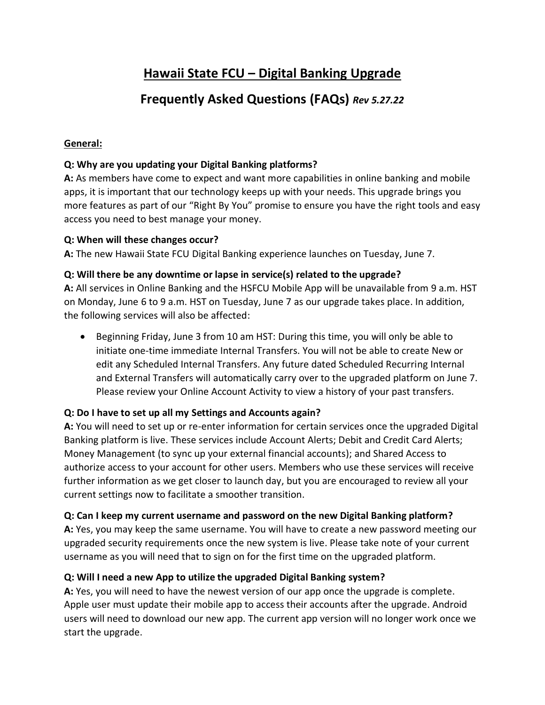# **Hawaii State FCU – Digital Banking Upgrade**

# **Frequently Asked Questions (FAQs)** *Rev 5.27.22*

## **General:**

# **Q: Why are you updating your Digital Banking platforms?**

**A:** As members have come to expect and want more capabilities in online banking and mobile apps, it is important that our technology keeps up with your needs. This upgrade brings you more features as part of our "Right By You" promise to ensure you have the right tools and easy access you need to best manage your money.

## **Q: When will these changes occur?**

**A:** The new Hawaii State FCU Digital Banking experience launches on Tuesday, June 7.

# **Q: Will there be any downtime or lapse in service(s) related to the upgrade?**

**A:** All services in Online Banking and the HSFCU Mobile App will be unavailable from 9 a.m. HST on Monday, June 6 to 9 a.m. HST on Tuesday, June 7 as our upgrade takes place. In addition, the following services will also be affected:

• Beginning Friday, June 3 from 10 am HST: During this time, you will only be able to initiate one-time immediate Internal Transfers. You will not be able to create New or edit any Scheduled Internal Transfers. Any future dated Scheduled Recurring Internal and External Transfers will automatically carry over to the upgraded platform on June 7. Please review your Online Account Activity to view a history of your past transfers.

# **Q: Do I have to set up all my Settings and Accounts again?**

**A:** You will need to set up or re-enter information for certain services once the upgraded Digital Banking platform is live. These services include Account Alerts; Debit and Credit Card Alerts; Money Management (to sync up your external financial accounts); and Shared Access to authorize access to your account for other users. Members who use these services will receive further information as we get closer to launch day, but you are encouraged to review all your current settings now to facilitate a smoother transition.

## **Q: Can I keep my current username and password on the new Digital Banking platform?**

**A:** Yes, you may keep the same username. You will have to create a new password meeting our upgraded security requirements once the new system is live. Please take note of your current username as you will need that to sign on for the first time on the upgraded platform.

# **Q: Will I need a new App to utilize the upgraded Digital Banking system?**

**A:** Yes, you will need to have the newest version of our app once the upgrade is complete. Apple user must update their mobile app to access their accounts after the upgrade. Android users will need to download our new app. The current app version will no longer work once we start the upgrade.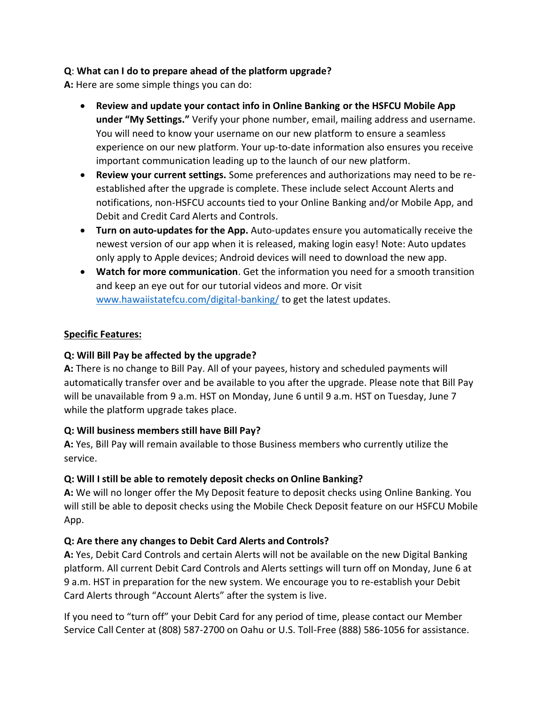## **Q**: **What can I do to prepare ahead of the platform upgrade?**

**A:** Here are some simple things you can do:

- **Review and update your contact info in Online Banking or the HSFCU Mobile App under "My Settings."** Verify your phone number, email, mailing address and username. You will need to know your username on our new platform to ensure a seamless experience on our new platform. Your up-to-date information also ensures you receive important communication leading up to the launch of our new platform.
- **Review your current settings.** Some preferences and authorizations may need to be reestablished after the upgrade is complete. These include select Account Alerts and notifications, non-HSFCU accounts tied to your Online Banking and/or Mobile App, and Debit and Credit Card Alerts and Controls.
- **Turn on auto-updates for the App.** Auto-updates ensure you automatically receive the newest version of our app when it is released, making login easy! Note: Auto updates only apply to Apple devices; Android devices will need to download the new app.
- **Watch for more communication**. Get the information you need for a smooth transition and keep an eye out for our tutorial videos and more. Or visit [www.hawaiistatefcu.com/digital-banking/](http://www.hawaiistatefcu.com/digital-banking/) to get the latest updates.

#### **Specific Features:**

## **Q: Will Bill Pay be affected by the upgrade?**

**A:** There is no change to Bill Pay. All of your payees, history and scheduled payments will automatically transfer over and be available to you after the upgrade. Please note that Bill Pay will be unavailable from 9 a.m. HST on Monday, June 6 until 9 a.m. HST on Tuesday, June 7 while the platform upgrade takes place.

## **Q: Will business members still have Bill Pay?**

**A:** Yes, Bill Pay will remain available to those Business members who currently utilize the service.

#### **Q: Will I still be able to remotely deposit checks on Online Banking?**

**A:** We will no longer offer the My Deposit feature to deposit checks using Online Banking. You will still be able to deposit checks using the Mobile Check Deposit feature on our HSFCU Mobile App.

## **Q: Are there any changes to Debit Card Alerts and Controls?**

**A:** Yes, Debit Card Controls and certain Alerts will not be available on the new Digital Banking platform. All current Debit Card Controls and Alerts settings will turn off on Monday, June 6 at 9 a.m. HST in preparation for the new system. We encourage you to re-establish your Debit Card Alerts through "Account Alerts" after the system is live.

If you need to "turn off" your Debit Card for any period of time, please contact our Member Service Call Center at (808) 587-2700 on Oahu or U.S. Toll-Free (888) 586-1056 for assistance.